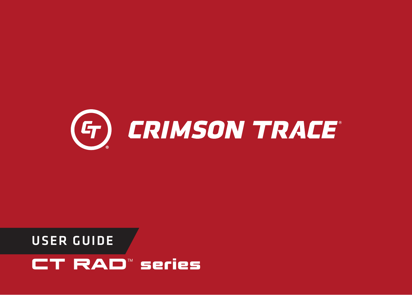

# USER GUIDE **CT RAD**™ **series**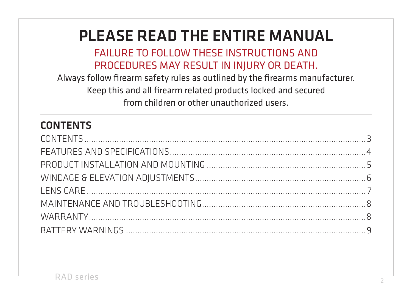## PLEASE READ THE ENTIRE MANUAL

#### FAILURE TO FOLLOW THESE INSTRUCTIONS AND PROCEDURES MAY RESULT IN INJURY OR DEATH.

Always follow firearm safety rules as outlined by the firearms manufacturer. Keep this and all firearm related products locked and secured from children or other unauthorized users.

### CONTENTS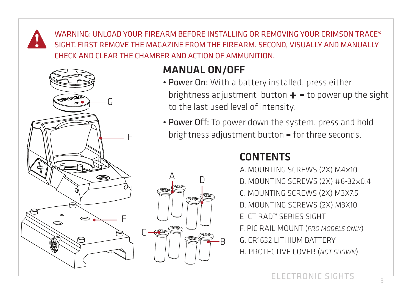WARNING: UNLOAD YOUR FIREARM BEFORE INSTALLING OR REMOVING YOUR CRIMSON TRACE® SIGHT. FIRST REMOVE THE MAGAZINE FROM THE FIREARM. SECOND, VISUALLY AND MANUALLY CHECK AND CLEAR THE CHAMBER AND ACTION OF AMMUNITION.



#### MANUAL ON/OFF

- Power On: With a battery installed, press either brightness adjustment button **+ -** to power up the sight to the last used level of intensity.
- Power Off: To power down the system, press and hold brightness adjustment button **-** for three seconds.

#### CONTENTS

A.MOUNTING SCREWS (2X) M4X10 B. MOUNTING SCREWS (2X) #6-32X0.4 C. MOUNTING SCREWS (2X) M3X7.5 D. MOUNTING SCREWS (2X) M3X10 E. CT RAD™ SERIES SIGHT F. PIC RAIL MOUNT (*PRO MODELS ONLY*) G. CR1632 LITHIUM BATTERY H. PROTECTIVE COVER (*NOT SHOWN*)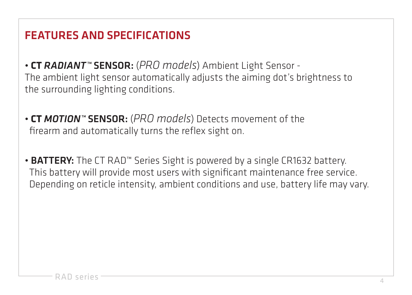## FEATURES AND SPECIFICATIONS

- **CT** *RADIANT™* SENSOR: (*PRO models*) Ambient Light Sensor The ambient light sensor automatically adjusts the aiming dot's brightness to the surrounding lighting conditions.
- **CT** *MOTION™* SENSOR: (*PRO models*) Detects movement of the firearm and automatically turns the reflex sight on.
- BATTERY: The CT RAD™ Series Sight is powered by a single CR1632 battery. This battery will provide most users with significant maintenance free service. Depending on reticle intensity, ambient conditions and use, battery life may vary.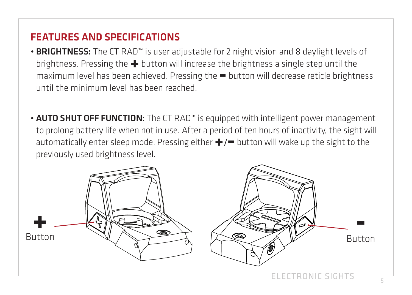#### FEATURES AND SPECIFICATIONS

- BRIGHTNESS: The CT RAD™ is user adjustable for 2 night vision and 8 daylight levels of brightness. Pressing the **+** button will increase the brightness a single step until the maximum level has been achieved. Pressing the **=** button will decrease reticle brightness until the minimum level has been reached.
- AUTO SHUT OFF FUNCTION: The CT RAD™ is equipped with intelligent power management to prolong battery life when not in use. After a period of ten hours of inactivity, the sight will automatically enter sleep mode. Pressing either **+**/**-** button will wake up the sight to the previously used brightness level.

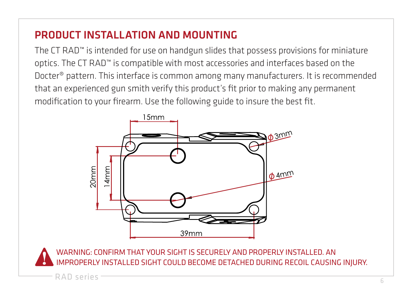#### PRODUCT INSTALL ATION AND MOUNTING

The CT RAD™ is intended for use on handgun slides that possess provisions for miniature optics. The CT RAD™ is compatible with most accessories and interfaces based on the Docter® pattern. This interface is common among many manufacturers. It is recommended that an experienced gun smith verify this product's fit prior to making any permanent modification to your firearm. Use the following guide to insure the best fit.



WARNING: CONFIRM THAT YOUR SIGHT IS SECURELY AND PROPERLY INSTALLED. AN IOPERLY INSTALLED SIGHT COULD BECOME DETACHED DURING RECOIL CAUSING INJURY.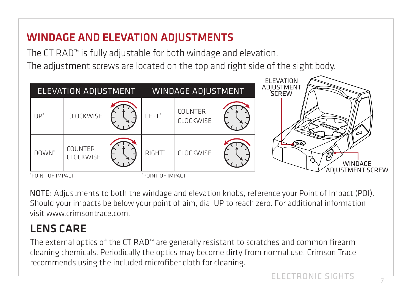## WINDAGE AND ELEVATION ADJUSTMENTS

The CT RAD™ is fully adjustable for both windage and elevation. The adjustment screws are located on the top and right side of the sight body.



NOTE: Adjustments to both the windage and elevation knobs, reference your Point of Impact (POI). Should your impacts be below your point of aim, dial UP to reach zero. For additional information visit www.crimsontrace.com.

## LENS CARE

The external optics of the CT RAD™ are generally resistant to scratches and common firearm cleaning chemicals. Periodically the optics may become dirty from normal use, Crimson Trace recommends using the included microfiber cloth for cleaning.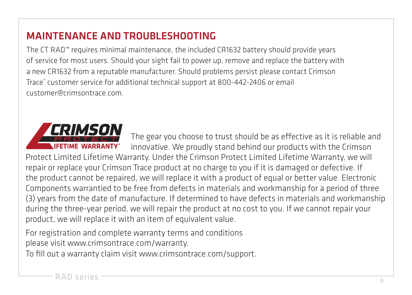#### MAINTENANCE AND TROUBLESHOOTING

The CT RAD™ requires minimal maintenance, the included CR1632 battery should provide years of service for most users. Should your sight fail to power up, remove and replace the battery with a new CR1632 from a reputable manufacturer. Should problems persist please contact Crimson Trace® customer service for additional technical support at 800-442-2406 or email customer@crimsontrace.com.



The gear you choose to trust should be as effective as it is reliable and innovative. We proudly stand behind our products with the Crimson Protect Limited Lifetime Warranty. Under the Crimson Protect Limited Lifetime Warranty, we will repair or replace your Crimson Trace product at no charge to you if it is damaged or defective. If the product cannot be repaired, we will replace it with a product of equal or better value. Electronic Components warrantied to be free from defects in materials and workmanship for a period of three (3) years from the date of manufacture. If determined to have defects in materials and workmanship during the three-year period, we will repair the product at no cost to you. If we cannot repair your product, we will replace it with an item of equivalent value.

For registration and complete warranty terms and conditions please visit www.crimsontrace.com/warranty.

To fill out a warranty claim visit www.crimsontrace.com/support.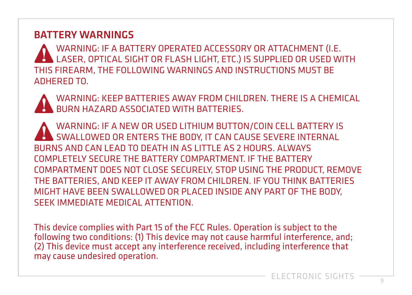#### BATTERY WARNINGS

WARNING: IF A BATTERY OPERATED ACCESSORY OR ATTACHMENT (I.E. LASER, OPTICAL SIGHT OR FLASH LIGHT, ETC.) IS SUPPLIED OR USED WITH THIS FIREARM, THE FOLLOWING WARNINGS AND INSTRUCTIONS MUST BE ADHERED TO.

WARNING: KEEP BATTERIES AWAY FROM CHILDREN. THERE IS A CHEMICAL BURN HAZARD ASSOCIATED WITH BATTERIES.

WARNING: IF A NEW OR USED LITHIUM BUTTON/COIN CELL BATTERY IS SWALLOWED OR ENTERS THE BODY, IT CAN CAUSE SEVERE INTERNAL BURNS AND CAN LEAD TO DEATH IN AS LITTLE AS 2 HOURS. ALWAYS COMPLETELY SECURE THE BATTERY COMPARTMENT. IF THE BATTERY COMPARTMENT DOES NOT CLOSE SECURELY, STOP USING THE PRODUCT, REMOVE THE BATTERIES, AND KEEP IT AWAY FROM CHILDREN. IF YOU THINK BATTERIES MIGHT HAVE BEEN SWALLOWED OR PLACED INSIDE ANY PART OF THE BODY, SEEK IMMEDIATE MEDICAL ATTENTION.

This device complies with Part 15 of the FCC Rules. Operation is subject to the following two conditions: (1) This device may not cause harmful interference, and; (2) This device must accept any interference received, including interference that may cause undesired operation.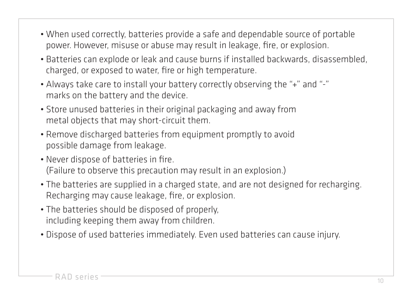- When used correctly, batteries provide a safe and dependable source of portable power. However, misuse or abuse may result in leakage, fire, or explosion.
- Batteries can explode or leak and cause burns if installed backwards, disassembled, charged, or exposed to water, fire or high temperature.
- Always take care to install your battery correctly observing the "+" and "-" marks on the battery and the device.
- Store unused batteries in their original packaging and away from metal objects that may short-circuit them.
- Remove discharged batteries from equipment promptly to avoid possible damage from leakage.
- Never dispose of batteries in fire. (Failure to observe this precaution may result in an explosion.)
- The batteries are supplied in a charged state, and are not designed for recharging. Recharging may cause leakage, fire, or explosion.
- The batteries should be disposed of properly, including keeping them away from children.
- Dispose of used batteries immediately. Even used batteries can cause injury.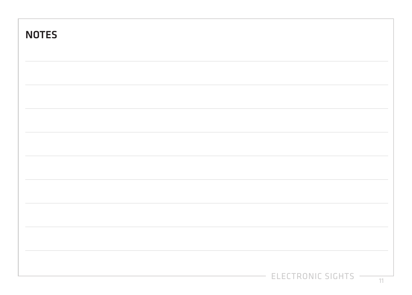| ELECTRONIC SIGHTS - |  |
|---------------------|--|